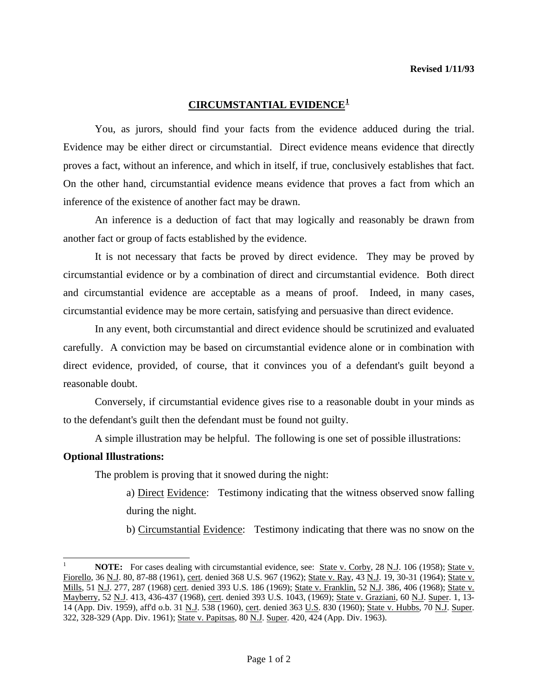## **CIRCUMSTANTIAL EVIDENCE[1](#page-0-0)**

 You, as jurors, should find your facts from the evidence adduced during the trial. Evidence may be either direct or circumstantial. Direct evidence means evidence that directly proves a fact, without an inference, and which in itself, if true, conclusively establishes that fact. On the other hand, circumstantial evidence means evidence that proves a fact from which an inference of the existence of another fact may be drawn.

 An inference is a deduction of fact that may logically and reasonably be drawn from another fact or group of facts established by the evidence.

 It is not necessary that facts be proved by direct evidence. They may be proved by circumstantial evidence or by a combination of direct and circumstantial evidence. Both direct and circumstantial evidence are acceptable as a means of proof. Indeed, in many cases, circumstantial evidence may be more certain, satisfying and persuasive than direct evidence.

 In any event, both circumstantial and direct evidence should be scrutinized and evaluated carefully. A conviction may be based on circumstantial evidence alone or in combination with direct evidence, provided, of course, that it convinces you of a defendant's guilt beyond a reasonable doubt.

 Conversely, if circumstantial evidence gives rise to a reasonable doubt in your minds as to the defendant's guilt then the defendant must be found not guilty.

A simple illustration may be helpful. The following is one set of possible illustrations:

## **Optional Illustrations:**

l

The problem is proving that it snowed during the night:

a) Direct Evidence: Testimony indicating that the witness observed snow falling during the night.

b) Circumstantial Evidence: Testimony indicating that there was no snow on the

<span id="page-0-0"></span>**NOTE:** For cases dealing with circumstantial evidence, see: State v. Corby, 28 N.J. 106 (1958); State v. Fiorello, 36 N.J. 80, 87-88 (1961), cert. denied 368 U.S. 967 (1962); State v. Ray, 43 N.J. 19, 30-31 (1964); State v. Mills, 51 N.J. 277, 287 (1968) cert. denied 393 U.S. 186 (1969); State v. Franklin, 52 N.J. 386, 406 (1968); State v. Mayberry, 52 N.J. 413, 436-437 (1968), cert. denied 393 U.S. 1043, (1969); State v. Graziani, 60 N.J. Super. 1, 13-14 (App. Div. 1959), aff'd o.b. 31 N.J. 538 (1960), cert. denied 363 U.S. 830 (1960); State v. Hubbs, 70 N.J. Super. 322, 328-329 (App. Div. 1961); State v. Papitsas, 80 N.J. Super. 420, 424 (App. Div. 1963).